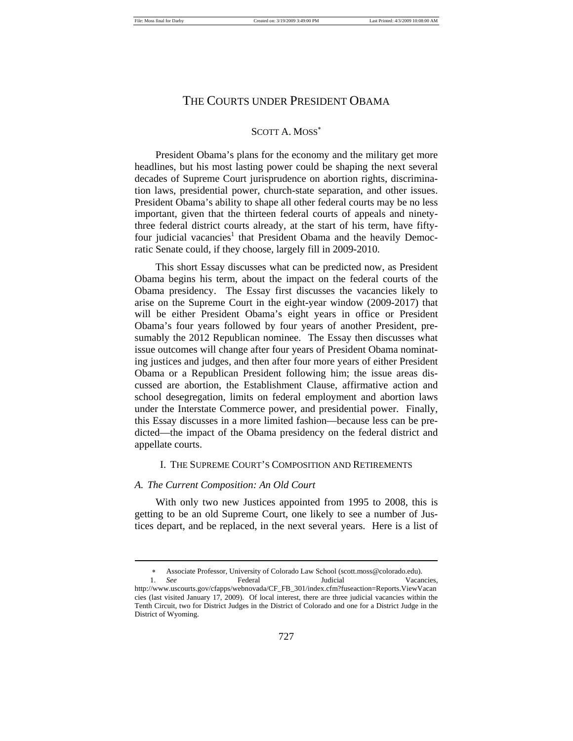#### SCOTT A. MOSS

President Obama's plans for the economy and the military get more headlines, but his most lasting power could be shaping the next several decades of Supreme Court jurisprudence on abortion rights, discrimination laws, presidential power, church-state separation, and other issues. President Obama's ability to shape all other federal courts may be no less important, given that the thirteen federal courts of appeals and ninetythree federal district courts already, at the start of his term, have fiftyfour judicial vacancies<sup>1</sup> that President Obama and the heavily Democratic Senate could, if they choose, largely fill in 2009-2010.

This short Essay discusses what can be predicted now, as President Obama begins his term, about the impact on the federal courts of the Obama presidency. The Essay first discusses the vacancies likely to arise on the Supreme Court in the eight-year window (2009-2017) that will be either President Obama's eight years in office or President Obama's four years followed by four years of another President, presumably the 2012 Republican nominee. The Essay then discusses what issue outcomes will change after four years of President Obama nominating justices and judges, and then after four more years of either President Obama or a Republican President following him; the issue areas discussed are abortion, the Establishment Clause, affirmative action and school desegregation, limits on federal employment and abortion laws under the Interstate Commerce power, and presidential power. Finally, this Essay discusses in a more limited fashion—because less can be predicted—the impact of the Obama presidency on the federal district and appellate courts.

#### I. THE SUPREME COURT'S COMPOSITION AND RETIREMENTS

#### *A. The Current Composition: An Old Court*

 $\overline{a}$ 

With only two new Justices appointed from 1995 to 2008, this is getting to be an old Supreme Court, one likely to see a number of Justices depart, and be replaced, in the next several years. Here is a list of

Associate Professor, University of Colorado Law School (scott.moss@colorado.edu). 1. *See* Federal Judicial Vacancies,

http://www.uscourts.gov/cfapps/webnovada/CF\_FB\_301/index.cfm?fuseaction=Reports.ViewVacan cies (last visited January 17, 2009). Of local interest, there are three judicial vacancies within the Tenth Circuit, two for District Judges in the District of Colorado and one for a District Judge in the District of Wyoming.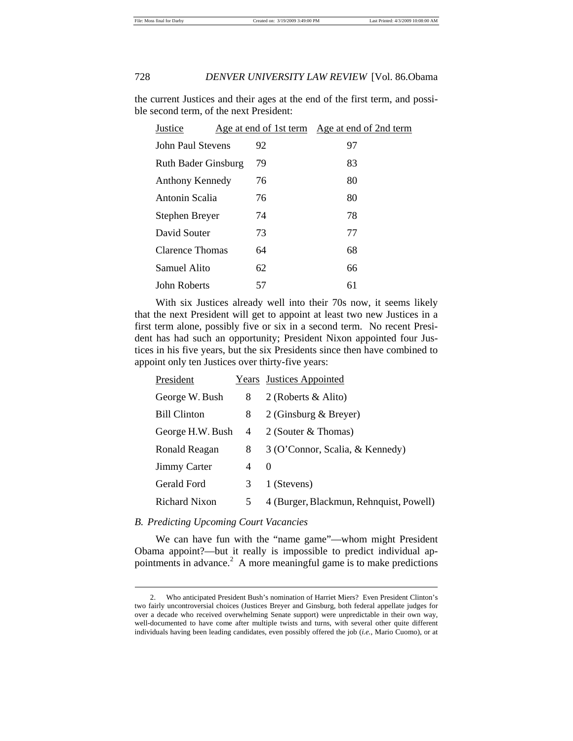the current Justices and their ages at the end of the first term, and possible second term, of the next President:

| Justice                    |    | Age at end of 1st term Age at end of 2nd term |  |
|----------------------------|----|-----------------------------------------------|--|
| John Paul Stevens          | 92 | 97                                            |  |
| <b>Ruth Bader Ginsburg</b> | 79 | 83                                            |  |
| Anthony Kennedy            | 76 | 80                                            |  |
| Antonin Scalia             | 76 | 80                                            |  |
| Stephen Breyer             | 74 | 78                                            |  |
| David Souter               | 73 | 77                                            |  |
| Clarence Thomas            | 64 | 68                                            |  |
| Samuel Alito               | 62 | 66                                            |  |
| John Roberts               | 57 | 61                                            |  |

With six Justices already well into their 70s now, it seems likely that the next President will get to appoint at least two new Justices in a first term alone, possibly five or six in a second term. No recent President has had such an opportunity; President Nixon appointed four Justices in his five years, but the six Presidents since then have combined to appoint only ten Justices over thirty-five years:

| President            |   | Years Justices Appointed                |
|----------------------|---|-----------------------------------------|
| George W. Bush       | 8 | 2 (Roberts & Alito)                     |
| <b>Bill Clinton</b>  | 8 | 2 (Ginsburg & Breyer)                   |
| George H.W. Bush     | 4 | 2 (Souter & Thomas)                     |
| Ronald Reagan        | 8 | 3 (O'Connor, Scalia, & Kennedy)         |
| <b>Jimmy Carter</b>  | 4 | $\Omega$                                |
| Gerald Ford          | 3 | 1 (Stevens)                             |
| <b>Richard Nixon</b> | 5 | 4 (Burger, Blackmun, Rehnquist, Powell) |

#### *B. Predicting Upcoming Court Vacancies*

 $\overline{a}$ 

We can have fun with the "name game"—whom might President Obama appoint?—but it really is impossible to predict individual appointments in advance.<sup>2</sup> A more meaningful game is to make predictions

 <sup>2.</sup> Who anticipated President Bush's nomination of Harriet Miers? Even President Clinton's two fairly uncontroversial choices (Justices Breyer and Ginsburg, both federal appellate judges for over a decade who received overwhelming Senate support) were unpredictable in their own way, well-documented to have come after multiple twists and turns, with several other quite different individuals having been leading candidates, even possibly offered the job (*i.e.*, Mario Cuomo), or at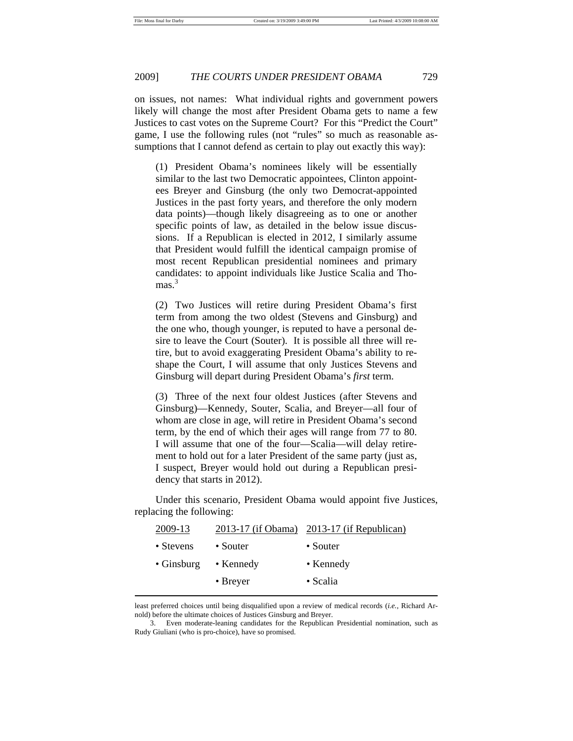on issues, not names: What individual rights and government powers likely will change the most after President Obama gets to name a few Justices to cast votes on the Supreme Court? For this "Predict the Court" game, I use the following rules (not "rules" so much as reasonable assumptions that I cannot defend as certain to play out exactly this way):

(1) President Obama's nominees likely will be essentially similar to the last two Democratic appointees, Clinton appointees Breyer and Ginsburg (the only two Democrat-appointed Justices in the past forty years, and therefore the only modern data points)—though likely disagreeing as to one or another specific points of law, as detailed in the below issue discussions. If a Republican is elected in 2012, I similarly assume that President would fulfill the identical campaign promise of most recent Republican presidential nominees and primary candidates: to appoint individuals like Justice Scalia and Tho $mas.<sup>3</sup>$ 

(2) Two Justices will retire during President Obama's first term from among the two oldest (Stevens and Ginsburg) and the one who, though younger, is reputed to have a personal desire to leave the Court (Souter). It is possible all three will retire, but to avoid exaggerating President Obama's ability to reshape the Court, I will assume that only Justices Stevens and Ginsburg will depart during President Obama's *first* term.

(3) Three of the next four oldest Justices (after Stevens and Ginsburg)—Kennedy, Souter, Scalia, and Breyer—all four of whom are close in age, will retire in President Obama's second term, by the end of which their ages will range from 77 to 80. I will assume that one of the four—Scalia—will delay retirement to hold out for a later President of the same party (just as, I suspect, Breyer would hold out during a Republican presidency that starts in 2012).

Under this scenario, President Obama would appoint five Justices, replacing the following:

|                   | 2013-17 (if Obama) 2013-17 (if Republican) |
|-------------------|--------------------------------------------|
| $\bullet$ Souter  | • Souter                                   |
| $\bullet$ Kennedy | • Kennedy                                  |
| $\bullet$ Breyer  | $\bullet$ Scalia                           |
|                   |                                            |

least preferred choices until being disqualified upon a review of medical records (*i.e.,* Richard Arnold) before the ultimate choices of Justices Ginsburg and Breyer.

 <sup>3.</sup> Even moderate-leaning candidates for the Republican Presidential nomination, such as Rudy Giuliani (who is pro-choice), have so promised.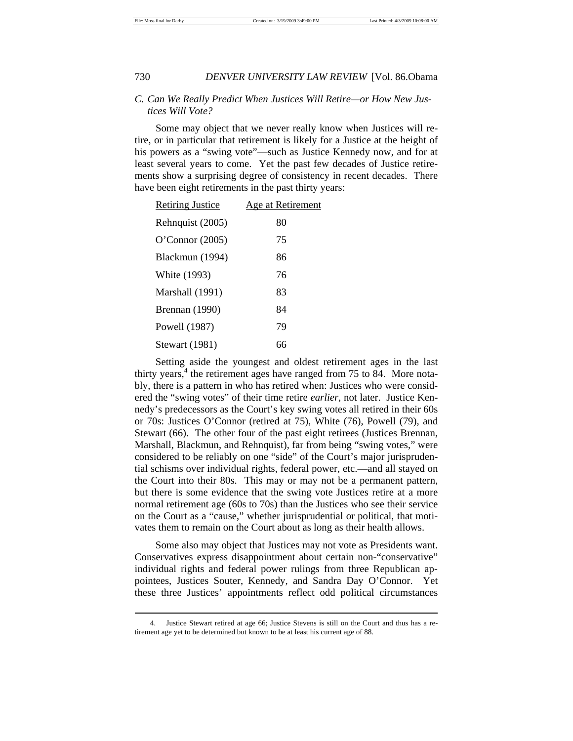#### *C. Can We Really Predict When Justices Will Retire—or How New Justices Will Vote?*

Some may object that we never really know when Justices will retire, or in particular that retirement is likely for a Justice at the height of his powers as a "swing vote"—such as Justice Kennedy now, and for at least several years to come. Yet the past few decades of Justice retirements show a surprising degree of consistency in recent decades. There have been eight retirements in the past thirty years:

| <b>Retiring Justice</b> | Age at Retirement |
|-------------------------|-------------------|
| Rehnquist (2005)        | 80                |
| O'Connor $(2005)$       | 75                |
| Blackmun (1994)         | 86                |
| White (1993)            | 76                |
| Marshall (1991)         | 83                |
| Brennan (1990)          | 84                |
| Powell (1987)           | 79                |
| <b>Stewart</b> (1981)   | 66                |

Setting aside the youngest and oldest retirement ages in the last thirty years, $4$  the retirement ages have ranged from 75 to 84. More notably, there is a pattern in who has retired when: Justices who were considered the "swing votes" of their time retire *earlier*, not later. Justice Kennedy's predecessors as the Court's key swing votes all retired in their 60s or 70s: Justices O'Connor (retired at 75), White (76), Powell (79), and Stewart (66). The other four of the past eight retirees (Justices Brennan, Marshall, Blackmun, and Rehnquist), far from being "swing votes," were considered to be reliably on one "side" of the Court's major jurisprudential schisms over individual rights, federal power, etc.—and all stayed on the Court into their 80s. This may or may not be a permanent pattern, but there is some evidence that the swing vote Justices retire at a more normal retirement age (60s to 70s) than the Justices who see their service on the Court as a "cause," whether jurisprudential or political, that motivates them to remain on the Court about as long as their health allows.

Some also may object that Justices may not vote as Presidents want. Conservatives express disappointment about certain non-"conservative" individual rights and federal power rulings from three Republican appointees, Justices Souter, Kennedy, and Sandra Day O'Connor. Yet these three Justices' appointments reflect odd political circumstances

 <sup>4.</sup> Justice Stewart retired at age 66; Justice Stevens is still on the Court and thus has a retirement age yet to be determined but known to be at least his current age of 88.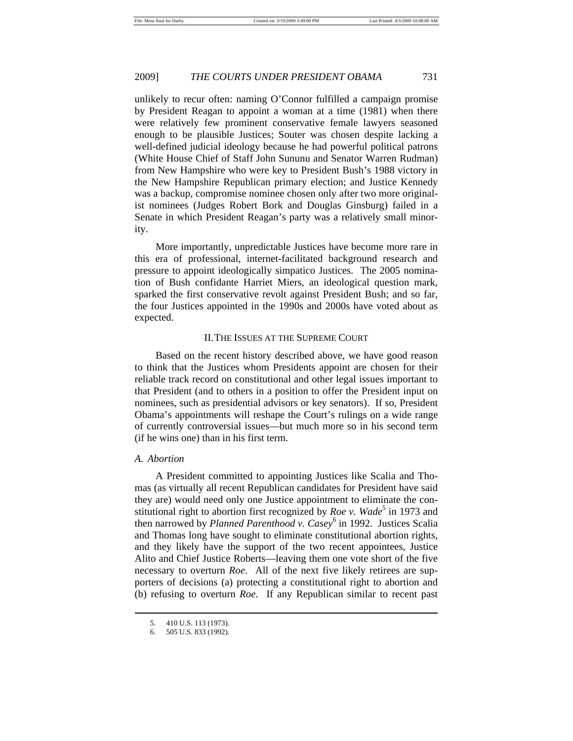unlikely to recur often: naming O'Connor fulfilled a campaign promise by President Reagan to appoint a woman at a time (1981) when there were relatively few prominent conservative female lawyers seasoned enough to be plausible Justices; Souter was chosen despite lacking a well-defined judicial ideology because he had powerful political patrons (White House Chief of Staff John Sununu and Senator Warren Rudman) from New Hampshire who were key to President Bush's 1988 victory in the New Hampshire Republican primary election; and Justice Kennedy was a backup, compromise nominee chosen only after two more originalist nominees (Judges Robert Bork and Douglas Ginsburg) failed in a Senate in which President Reagan's party was a relatively small minority.

More importantly, unpredictable Justices have become more rare in this era of professional, internet-facilitated background research and pressure to appoint ideologically simpatico Justices. The 2005 nomination of Bush confidante Harriet Miers, an ideological question mark, sparked the first conservative revolt against President Bush; and so far, the four Justices appointed in the 1990s and 2000s have voted about as expected.

#### II. THE ISSUES AT THE SUPREME COURT

Based on the recent history described above, we have good reason to think that the Justices whom Presidents appoint are chosen for their reliable track record on constitutional and other legal issues important to that President (and to others in a position to offer the President input on nominees, such as presidential advisors or key senators). If so, President Obama's appointments will reshape the Court's rulings on a wide range of currently controversial issues—but much more so in his second term (if he wins one) than in his first term.

#### *A. Abortion*

 $\overline{a}$ 

A President committed to appointing Justices like Scalia and Thomas (as virtually all recent Republican candidates for President have said they are) would need only one Justice appointment to eliminate the constitutional right to abortion first recognized by *Roe v. Wade*<sup>5</sup> in 1973 and then narrowed by *Planned Parenthood v. Casey*<sup>6</sup> in 1992. Justices Scalia and Thomas long have sought to eliminate constitutional abortion rights, and they likely have the support of the two recent appointees, Justice Alito and Chief Justice Roberts—leaving them one vote short of the five necessary to overturn *Roe*. All of the next five likely retirees are supporters of decisions (a) protecting a constitutional right to abortion and (b) refusing to overturn *Roe*. If any Republican similar to recent past

 <sup>5. 410</sup> U.S. 113 (1973).

 <sup>6. 505</sup> U.S. 833 (1992).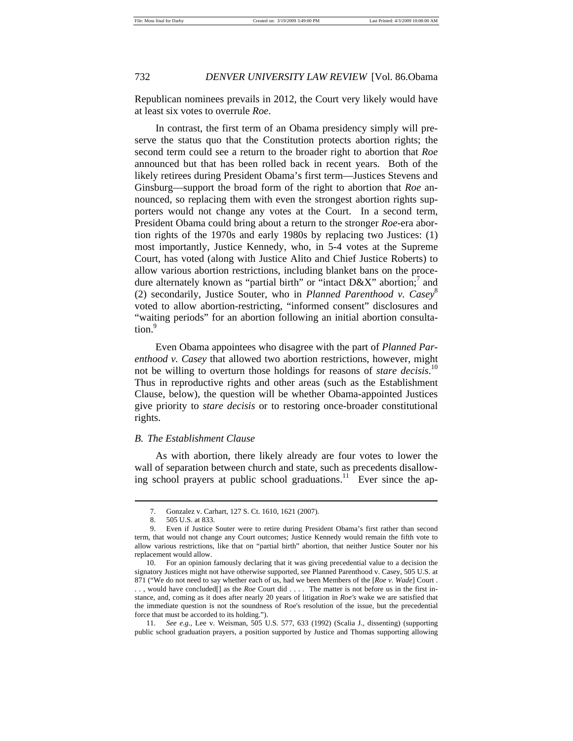Republican nominees prevails in 2012, the Court very likely would have at least six votes to overrule *Roe*.

In contrast, the first term of an Obama presidency simply will preserve the status quo that the Constitution protects abortion rights; the second term could see a return to the broader right to abortion that *Roe* announced but that has been rolled back in recent years. Both of the likely retirees during President Obama's first term—Justices Stevens and Ginsburg—support the broad form of the right to abortion that *Roe* announced, so replacing them with even the strongest abortion rights supporters would not change any votes at the Court. In a second term, President Obama could bring about a return to the stronger *Roe-*era abortion rights of the 1970s and early 1980s by replacing two Justices: (1) most importantly, Justice Kennedy, who, in 5-4 votes at the Supreme Court, has voted (along with Justice Alito and Chief Justice Roberts) to allow various abortion restrictions, including blanket bans on the procedure alternately known as "partial birth" or "intact  $D\&X$ " abortion;<sup>7</sup> and (2) secondarily, Justice Souter, who in *Planned Parenthood v. Casey*<sup>8</sup> voted to allow abortion-restricting, "informed consent" disclosures and "waiting periods" for an abortion following an initial abortion consultation.<sup>9</sup>

Even Obama appointees who disagree with the part of *Planned Parenthood v. Casey* that allowed two abortion restrictions, however, might not be willing to overturn those holdings for reasons of *stare decisis*. 10 Thus in reproductive rights and other areas (such as the Establishment Clause, below), the question will be whether Obama-appointed Justices give priority to *stare decisis* or to restoring once-broader constitutional rights.

#### *B. The Establishment Clause*

As with abortion, there likely already are four votes to lower the wall of separation between church and state, such as precedents disallowing school prayers at public school graduations.<sup>11</sup> Ever since the ap-

 <sup>7.</sup> Gonzalez v. Carhart, 127 S. Ct. 1610, 1621 (2007).

 <sup>8. 505</sup> U.S. at 833.

 <sup>9.</sup> Even if Justice Souter were to retire during President Obama's first rather than second term, that would not change any Court outcomes; Justice Kennedy would remain the fifth vote to allow various restrictions, like that on "partial birth" abortion, that neither Justice Souter nor his replacement would allow.

 <sup>10.</sup> For an opinion famously declaring that it was giving precedential value to a decision the signatory Justices might not have otherwise supported, see Planned Parenthood v. Casey, 505 U.S. at 871 ("We do not need to say whether each of us, had we been Members of the [*Roe v. Wade*] Court . . . , would have concluded[] as the *Roe* Court did . . . . The matter is not before us in the first instance, and, coming as it does after nearly 20 years of litigation in *Roe's* wake we are satisfied that the immediate question is not the soundness of Roe's resolution of the issue, but the precedential force that must be accorded to its holding.").

 <sup>11.</sup> *See e.g.,* Lee v. Weisman, 505 U.S. 577, 633 (1992) (Scalia J., dissenting) (supporting public school graduation prayers, a position supported by Justice and Thomas supporting allowing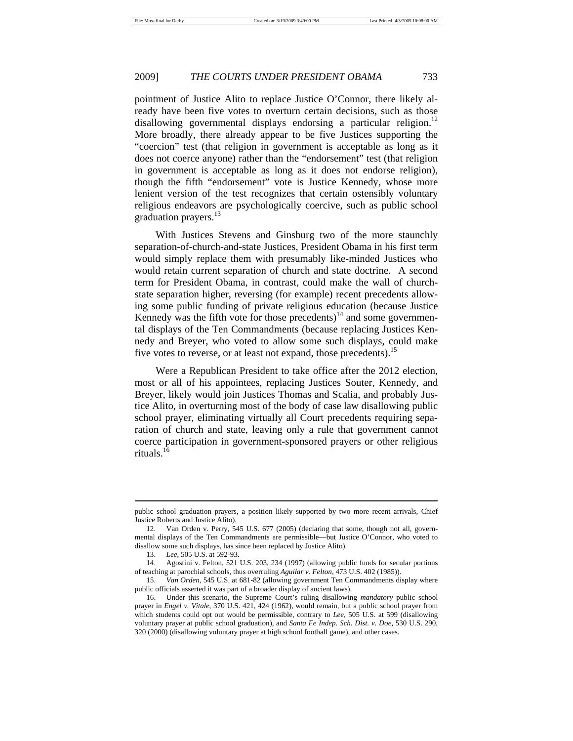pointment of Justice Alito to replace Justice O'Connor, there likely already have been five votes to overturn certain decisions, such as those disallowing governmental displays endorsing a particular religion.<sup>12</sup> More broadly, there already appear to be five Justices supporting the "coercion" test (that religion in government is acceptable as long as it does not coerce anyone) rather than the "endorsement" test (that religion in government is acceptable as long as it does not endorse religion), though the fifth "endorsement" vote is Justice Kennedy, whose more lenient version of the test recognizes that certain ostensibly voluntary religious endeavors are psychologically coercive, such as public school graduation prayers.<sup>13</sup>

With Justices Stevens and Ginsburg two of the more staunchly separation-of-church-and-state Justices, President Obama in his first term would simply replace them with presumably like-minded Justices who would retain current separation of church and state doctrine. A second term for President Obama, in contrast, could make the wall of churchstate separation higher, reversing (for example) recent precedents allowing some public funding of private religious education (because Justice Kennedy was the fifth vote for those precedents)<sup>14</sup> and some governmental displays of the Ten Commandments (because replacing Justices Kennedy and Breyer, who voted to allow some such displays, could make five votes to reverse, or at least not expand, those precedents).<sup>15</sup>

Were a Republican President to take office after the 2012 election, most or all of his appointees, replacing Justices Souter, Kennedy, and Breyer, likely would join Justices Thomas and Scalia, and probably Justice Alito, in overturning most of the body of case law disallowing public school prayer, eliminating virtually all Court precedents requiring separation of church and state, leaving only a rule that government cannot coerce participation in government-sponsored prayers or other religious rituals.<sup>16</sup>

public school graduation prayers, a position likely supported by two more recent arrivals, Chief Justice Roberts and Justice Alito).

 <sup>12.</sup> Van Orden v. Perry, 545 U.S. 677 (2005) (declaring that some, though not all, governmental displays of the Ten Commandments are permissible—but Justice O'Connor, who voted to disallow some such displays, has since been replaced by Justice Alito).

 <sup>13.</sup> *Lee*, 505 U.S. at 592-93.

 <sup>14.</sup> Agostini v. Felton, 521 U.S. 203, 234 (1997) (allowing public funds for secular portions of teaching at parochial schools, thus overruling *Aguilar v. Felton*, 473 U.S. 402 (1985)).

 <sup>15.</sup> *Van Orden*, 545 U.S. at 681-82 (allowing government Ten Commandments display where public officials asserted it was part of a broader display of ancient laws).

 <sup>16.</sup> Under this scenario, the Supreme Court's ruling disallowing *mandatory* public school prayer in *Engel v. Vitale*, 370 U.S. 421, 424 (1962), would remain, but a public school prayer from which students could opt out would be permissible, contrary to *Lee*, 505 U.S. at 599 (disallowing voluntary prayer at public school graduation), and *Santa Fe Indep. Sch. Dist. v. Doe*, 530 U.S. 290, 320 (2000) (disallowing voluntary prayer at high school football game), and other cases.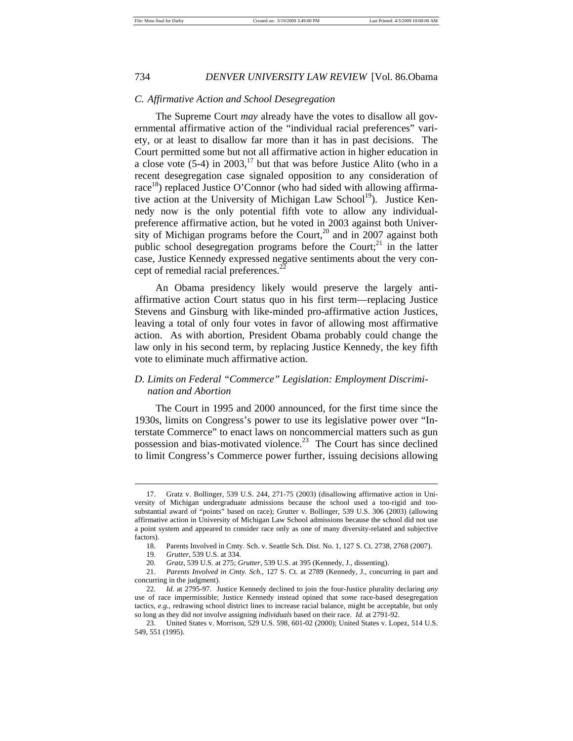#### *C. Affirmative Action and School Desegregation*

The Supreme Court *may* already have the votes to disallow all governmental affirmative action of the "individual racial preferences" variety, or at least to disallow far more than it has in past decisions. The Court permitted some but not all affirmative action in higher education in a close vote  $(5-4)$  in 2003,<sup>17</sup> but that was before Justice Alito (who in a recent desegregation case signaled opposition to any consideration of race<sup>18</sup>) replaced Justice O'Connor (who had sided with allowing affirmative action at the University of Michigan Law School<sup>19</sup>). Justice Kennedy now is the only potential fifth vote to allow any individualpreference affirmative action, but he voted in 2003 against both University of Michigan programs before the Court, $20$  and in 2007 against both public school desegregation programs before the Court;<sup>21</sup> in the latter case, Justice Kennedy expressed negative sentiments about the very concept of remedial racial preferences. $^{22}$ 

An Obama presidency likely would preserve the largely antiaffirmative action Court status quo in his first term—replacing Justice Stevens and Ginsburg with like-minded pro-affirmative action Justices, leaving a total of only four votes in favor of allowing most affirmative action. As with abortion, President Obama probably could change the law only in his second term, by replacing Justice Kennedy, the key fifth vote to eliminate much affirmative action.

## *D. Limits on Federal "Commerce" Legislation: Employment Discrimination and Abortion*

The Court in 1995 and 2000 announced, for the first time since the 1930s, limits on Congress's power to use its legislative power over "Interstate Commerce" to enact laws on noncommercial matters such as gun possession and bias-motivated violence.<sup>23</sup> The Court has since declined to limit Congress's Commerce power further, issuing decisions allowing

 <sup>17.</sup> Gratz v. Bollinger, 539 U.S. 244, 271-75 (2003) (disallowing affirmative action in University of Michigan undergraduate admissions because the school used a too-rigid and toosubstantial award of "points" based on race); Grutter v. Bollinger, 539 U.S. 306 (2003) (allowing affirmative action in University of Michigan Law School admissions because the school did not use a point system and appeared to consider race only as one of many diversity-related and subjective factors).

 <sup>18.</sup> Parents Involved in Cmty. Sch. v. Seattle Sch. Dist. No. 1, 127 S. Ct. 2738, 2768 (2007).

 <sup>19.</sup> *Grutter*, 539 U.S. at 334.

<sup>20</sup>*. Gratz*, 539 U.S. at 275; *Grutter*, 539 U.S. at 395 (Kennedy, J., dissenting).

 <sup>21.</sup> *Parents Involved in Cmty. Sch.*, 127 S. Ct. at 2789 (Kennedy, J., concurring in part and concurring in the judgment).

<sup>22</sup>*. Id.* at 2795-97. Justice Kennedy declined to join the four-Justice plurality declaring *any* use of race impermissible; Justice Kennedy instead opined that *some* race-based desegregation tactics, *e.g.*, redrawing school district lines to increase racial balance, might be acceptable, but only so long as they did *not* involve assigning *individuals* based on their race. *Id.* at 2791-92.

 <sup>23.</sup> United States v. Morrison, 529 U.S. 598, 601-02 (2000); United States v. Lopez, 514 U.S. 549, 551 (1995).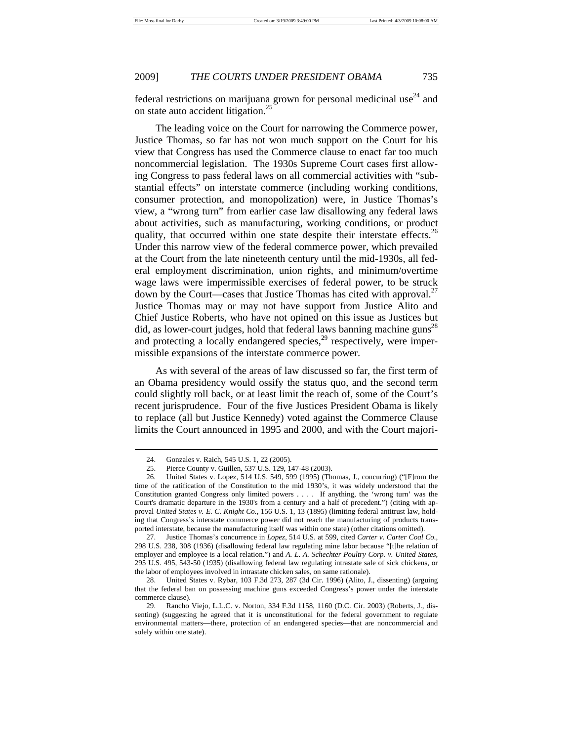federal restrictions on marijuana grown for personal medicinal use $24$  and on state auto accident litigation.<sup>25</sup>

The leading voice on the Court for narrowing the Commerce power, Justice Thomas, so far has not won much support on the Court for his view that Congress has used the Commerce clause to enact far too much noncommercial legislation. The 1930s Supreme Court cases first allowing Congress to pass federal laws on all commercial activities with "substantial effects" on interstate commerce (including working conditions, consumer protection, and monopolization) were, in Justice Thomas's view, a "wrong turn" from earlier case law disallowing any federal laws about activities, such as manufacturing, working conditions, or product quality, that occurred within one state despite their interstate effects.<sup>26</sup> Under this narrow view of the federal commerce power, which prevailed at the Court from the late nineteenth century until the mid-1930s, all federal employment discrimination, union rights, and minimum/overtime wage laws were impermissible exercises of federal power, to be struck down by the Court—cases that Justice Thomas has cited with approval.<sup>27</sup> Justice Thomas may or may not have support from Justice Alito and Chief Justice Roberts, who have not opined on this issue as Justices but did, as lower-court judges, hold that federal laws banning machine guns<sup>28</sup> and protecting a locally endangered species, $^{29}$  respectively, were impermissible expansions of the interstate commerce power.

As with several of the areas of law discussed so far, the first term of an Obama presidency would ossify the status quo, and the second term could slightly roll back, or at least limit the reach of, some of the Court's recent jurisprudence. Four of the five Justices President Obama is likely to replace (all but Justice Kennedy) voted against the Commerce Clause limits the Court announced in 1995 and 2000, and with the Court majori-

 <sup>24.</sup> Gonzales v. Raich, 545 U.S. 1, 22 (2005).

 <sup>25.</sup> Pierce County v. Guillen, 537 U.S. 129, 147-48 (2003).

 <sup>26.</sup> United States v. Lopez, 514 U.S. 549, 599 (1995) (Thomas, J., concurring) ("[F]rom the time of the ratification of the Constitution to the mid 1930's, it was widely understood that the Constitution granted Congress only limited powers . . . . If anything, the 'wrong turn' was the Court's dramatic departure in the 1930's from a century and a half of precedent.") (citing with approval *United States v. E. C. Knight Co.*, 156 U.S. 1, 13 (1895) (limiting federal antitrust law, holding that Congress's interstate commerce power did not reach the manufacturing of products transported interstate, because the manufacturing itself was within one state) (other citations omitted).

 <sup>27.</sup> Justice Thomas's concurrence in *Lopez*, 514 U.S. at 599, cited *Carter v. Carter Coal Co.*, 298 U.S. 238, 308 (1936) (disallowing federal law regulating mine labor because "[t]he relation of employer and employee is a local relation.") and *A. L. A. Schechter Poultry Corp. v. United States*, 295 U.S. 495, 543-50 (1935) (disallowing federal law regulating intrastate sale of sick chickens, or the labor of employees involved in intrastate chicken sales, on same rationale).

 <sup>28.</sup> United States v. Rybar, 103 F.3d 273, 287 (3d Cir. 1996) (Alito, J., dissenting) (arguing that the federal ban on possessing machine guns exceeded Congress's power under the interstate commerce clause).

 <sup>29.</sup> Rancho Viejo, L.L.C. v. Norton, 334 F.3d 1158, 1160 (D.C. Cir. 2003) (Roberts, J., dissenting) (suggesting he agreed that it is unconstitutional for the federal government to regulate environmental matters—there, protection of an endangered species—that are noncommercial and solely within one state).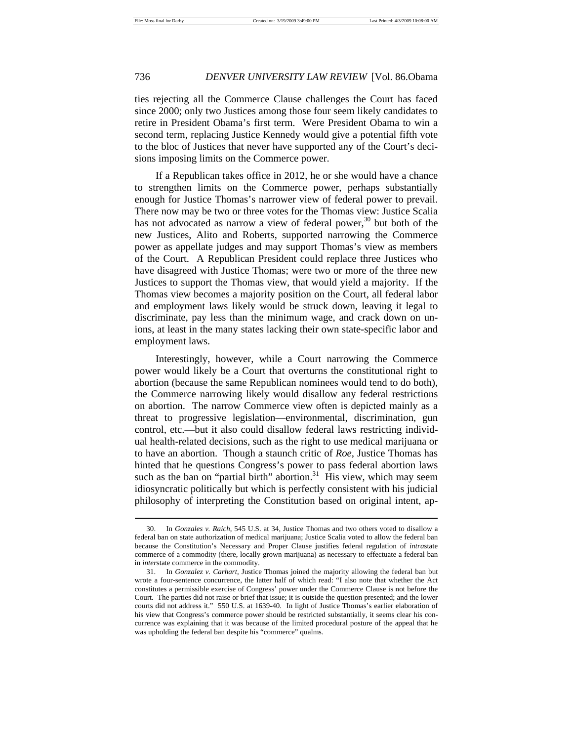$\overline{a}$ 

## 736 *DENVER UNIVERSITY LAW REVIEW* [Vol. 86.Obama

ties rejecting all the Commerce Clause challenges the Court has faced since 2000; only two Justices among those four seem likely candidates to retire in President Obama's first term. Were President Obama to win a second term, replacing Justice Kennedy would give a potential fifth vote to the bloc of Justices that never have supported any of the Court's decisions imposing limits on the Commerce power.

If a Republican takes office in 2012, he or she would have a chance to strengthen limits on the Commerce power, perhaps substantially enough for Justice Thomas's narrower view of federal power to prevail. There now may be two or three votes for the Thomas view: Justice Scalia has not advocated as narrow a view of federal power,  $30$  but both of the new Justices, Alito and Roberts, supported narrowing the Commerce power as appellate judges and may support Thomas's view as members of the Court. A Republican President could replace three Justices who have disagreed with Justice Thomas; were two or more of the three new Justices to support the Thomas view, that would yield a majority. If the Thomas view becomes a majority position on the Court, all federal labor and employment laws likely would be struck down, leaving it legal to discriminate, pay less than the minimum wage, and crack down on unions, at least in the many states lacking their own state-specific labor and employment laws.

Interestingly, however, while a Court narrowing the Commerce power would likely be a Court that overturns the constitutional right to abortion (because the same Republican nominees would tend to do both), the Commerce narrowing likely would disallow any federal restrictions on abortion. The narrow Commerce view often is depicted mainly as a threat to progressive legislation—environmental, discrimination, gun control, etc.—but it also could disallow federal laws restricting individual health-related decisions, such as the right to use medical marijuana or to have an abortion. Though a staunch critic of *Roe*, Justice Thomas has hinted that he questions Congress's power to pass federal abortion laws such as the ban on "partial birth" abortion. $31$  His view, which may seem idiosyncratic politically but which is perfectly consistent with his judicial philosophy of interpreting the Constitution based on original intent, ap-

 <sup>30.</sup> In *Gonzales v. Raich*, 545 U.S. at 34, Justice Thomas and two others voted to disallow a federal ban on state authorization of medical marijuana; Justice Scalia voted to allow the federal ban because the Constitution's Necessary and Proper Clause justifies federal regulation of *intra*state commerce of a commodity (there, locally grown marijuana) as necessary to effectuate a federal ban in *inter*state commerce in the commodity.

 <sup>31.</sup> In *Gonzalez v. Carhart*, Justice Thomas joined the majority allowing the federal ban but wrote a four-sentence concurrence, the latter half of which read: "I also note that whether the Act constitutes a permissible exercise of Congress' power under the Commerce Clause is not before the Court. The parties did not raise or brief that issue; it is outside the question presented; and the lower courts did not address it." 550 U.S. at 1639-40. In light of Justice Thomas's earlier elaboration of his view that Congress's commerce power should be restricted substantially, it seems clear his concurrence was explaining that it was because of the limited procedural posture of the appeal that he was upholding the federal ban despite his "commerce" qualms.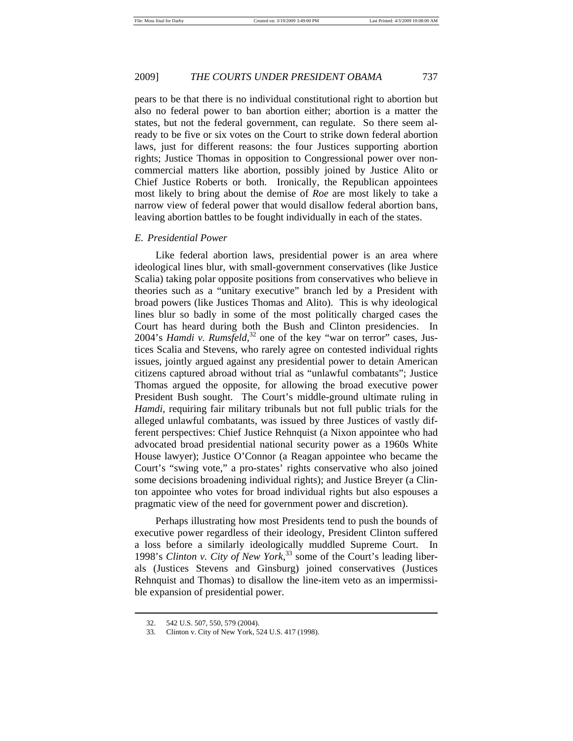pears to be that there is no individual constitutional right to abortion but also no federal power to ban abortion either; abortion is a matter the states, but not the federal government, can regulate. So there seem already to be five or six votes on the Court to strike down federal abortion laws, just for different reasons: the four Justices supporting abortion rights; Justice Thomas in opposition to Congressional power over noncommercial matters like abortion, possibly joined by Justice Alito or Chief Justice Roberts or both. Ironically, the Republican appointees most likely to bring about the demise of *Roe* are most likely to take a narrow view of federal power that would disallow federal abortion bans, leaving abortion battles to be fought individually in each of the states.

#### *E. Presidential Power*

Like federal abortion laws, presidential power is an area where ideological lines blur, with small-government conservatives (like Justice Scalia) taking polar opposite positions from conservatives who believe in theories such as a "unitary executive" branch led by a President with broad powers (like Justices Thomas and Alito). This is why ideological lines blur so badly in some of the most politically charged cases the Court has heard during both the Bush and Clinton presidencies. In 2004's *Hamdi v. Rumsfeld*, 32 one of the key "war on terror" cases, Justices Scalia and Stevens, who rarely agree on contested individual rights issues, jointly argued against any presidential power to detain American citizens captured abroad without trial as "unlawful combatants"; Justice Thomas argued the opposite, for allowing the broad executive power President Bush sought. The Court's middle-ground ultimate ruling in *Hamdi*, requiring fair military tribunals but not full public trials for the alleged unlawful combatants, was issued by three Justices of vastly different perspectives: Chief Justice Rehnquist (a Nixon appointee who had advocated broad presidential national security power as a 1960s White House lawyer); Justice O'Connor (a Reagan appointee who became the Court's "swing vote," a pro-states' rights conservative who also joined some decisions broadening individual rights); and Justice Breyer (a Clinton appointee who votes for broad individual rights but also espouses a pragmatic view of the need for government power and discretion).

Perhaps illustrating how most Presidents tend to push the bounds of executive power regardless of their ideology, President Clinton suffered a loss before a similarly ideologically muddled Supreme Court. In 1998's *Clinton v. City of New York*, 33 some of the Court's leading liberals (Justices Stevens and Ginsburg) joined conservatives (Justices Rehnquist and Thomas) to disallow the line-item veto as an impermissible expansion of presidential power.

 <sup>32. 542</sup> U.S. 507, 550, 579 (2004).

 <sup>33.</sup> Clinton v. City of New York, 524 U.S. 417 (1998).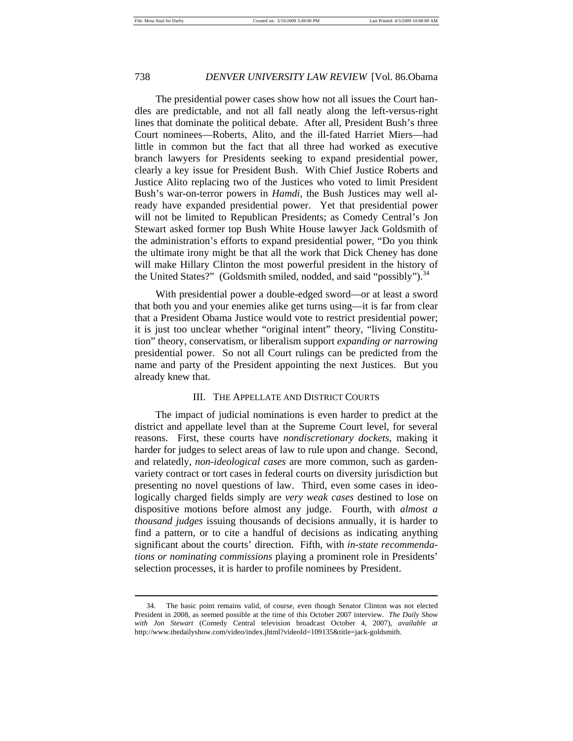$\overline{a}$ 

## 738 *DENVER UNIVERSITY LAW REVIEW* [Vol. 86.Obama

The presidential power cases show how not all issues the Court handles are predictable, and not all fall neatly along the left-versus-right lines that dominate the political debate. After all, President Bush's three Court nominees—Roberts, Alito, and the ill-fated Harriet Miers—had little in common but the fact that all three had worked as executive branch lawyers for Presidents seeking to expand presidential power, clearly a key issue for President Bush. With Chief Justice Roberts and Justice Alito replacing two of the Justices who voted to limit President Bush's war-on-terror powers in *Hamdi*, the Bush Justices may well already have expanded presidential power. Yet that presidential power will not be limited to Republican Presidents; as Comedy Central's Jon Stewart asked former top Bush White House lawyer Jack Goldsmith of the administration's efforts to expand presidential power, "Do you think the ultimate irony might be that all the work that Dick Cheney has done will make Hillary Clinton the most powerful president in the history of the United States?" (Goldsmith smiled, nodded, and said "possibly"). $34$ 

With presidential power a double-edged sword—or at least a sword that both you and your enemies alike get turns using—it is far from clear that a President Obama Justice would vote to restrict presidential power; it is just too unclear whether "original intent" theory, "living Constitution" theory, conservatism, or liberalism support *expanding or narrowing* presidential power. So not all Court rulings can be predicted from the name and party of the President appointing the next Justices. But you already knew that.

#### III. THE APPELLATE AND DISTRICT COURTS

The impact of judicial nominations is even harder to predict at the district and appellate level than at the Supreme Court level, for several reasons. First, these courts have *nondiscretionary dockets*, making it harder for judges to select areas of law to rule upon and change. Second, and relatedly, *non-ideological cases* are more common, such as gardenvariety contract or tort cases in federal courts on diversity jurisdiction but presenting no novel questions of law. Third, even some cases in ideologically charged fields simply are *very weak cases* destined to lose on dispositive motions before almost any judge. Fourth, with *almost a thousand judges* issuing thousands of decisions annually, it is harder to find a pattern, or to cite a handful of decisions as indicating anything significant about the courts' direction. Fifth, with *in-state recommendations or nominating commissions* playing a prominent role in Presidents' selection processes, it is harder to profile nominees by President.

 <sup>34.</sup> The basic point remains valid, of course, even though Senator Clinton was not elected President in 2008, as seemed possible at the time of this October 2007 interview. *The Daily Show with Jon Stewart* (Comedy Central television broadcast October 4, 2007), *available at*  http://www.thedailyshow.com/video/index.jhtml?videoId=109135&title=jack-goldsmith.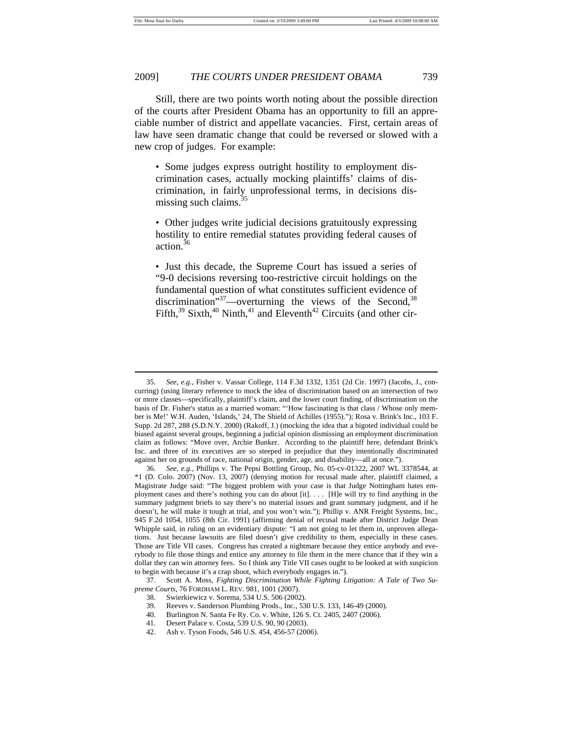$\overline{a}$ 

### 2009] *THE COURTS UNDER PRESIDENT OBAMA* 739

Still, there are two points worth noting about the possible direction of the courts after President Obama has an opportunity to fill an appreciable number of district and appellate vacancies. First, certain areas of law have seen dramatic change that could be reversed or slowed with a new crop of judges. For example:

• Some judges express outright hostility to employment discrimination cases, actually mocking plaintiffs' claims of discrimination, in fairly unprofessional terms, in decisions dismissing such claims.<sup>35</sup>

• Other judges write judicial decisions gratuitously expressing hostility to entire remedial statutes providing federal causes of action.36

• Just this decade, the Supreme Court has issued a series of "9-0 decisions reversing too-restrictive circuit holdings on the fundamental question of what constitutes sufficient evidence of discrimination<sup>"37</sup>—overturning the views of the Second,<sup>38</sup> Fifth, $39$  Sixth, $40$  Ninth, $41$  and Eleventh<sup>42</sup> Circuits (and other cir-

42. Ash v. Tyson Foods, 546 U.S. 454, 456-57 (2006).

 <sup>35.</sup> *See, e.g.,* Fisher v. Vassar College, 114 F.3d 1332, 1351 (2d Cir. 1997) (Jacobs, J., concurring) (using literary reference to mock the idea of discrimination based on an intersection of two or more classes—specifically, plaintiff's claim, and the lower court finding, of discrimination on the basis of Dr. Fisher's status as a married woman: "'How fascinating is that class / Whose only member is Me!' W.H. Auden, 'Islands,' 24, The Shield of Achilles (1955)."); Rosa v. Brink's Inc., 103 F. Supp. 2d 287, 288 (S.D.N.Y. 2000) (Rakoff, J.) (mocking the idea that a bigoted individual could be biased against several groups, beginning a judicial opinion dismissing an employment discrimination claim as follows: "Move over, Archie Bunker. According to the plaintiff here, defendant Brink's Inc. and three of its executives are so steeped in prejudice that they intentionally discriminated against her on grounds of race, national origin, gender, age, and disability—all at once.").

 <sup>36.</sup> *See, e.g.,* Phillips v. The Pepsi Bottling Group, No. 05-cv-01322, 2007 WL 3378544, at \*1 (D. Colo. 2007) (Nov. 13, 2007) (denying motion for recusal made after, plaintiff claimed, a Magistrate Judge said: "The biggest problem with your case is that Judge Nottingham hates employment cases and there's nothing you can do about [it]. . . . [H]e will try to find anything in the summary judgment briefs to say there's no material issues and grant summary judgment, and if he doesn't, he will make it tough at trial, and you won't win."); Phillip v. ANR Freight Systems, Inc., 945 F.2d 1054, 1055 (8th Cir. 1991) (affirming denial of recusal made after District Judge Dean Whipple said, in ruling on an evidentiary dispute: "I am not going to let them in, unproven allegations. Just because lawsuits are filed doesn't give credibility to them, especially in these cases. Those are Title VII cases. Congress has created a nightmare because they entice anybody and everybody to file those things and entice any attorney to file them in the mere chance that if they win a dollar they can win attorney fees. So I think any Title VII cases ought to be looked at with suspicion to begin with because it's a crap shoot, which everybody engages in.").

 <sup>37.</sup> Scott A. Moss, *Fighting Discrimination While Fighting Litigation: A Tale of Two Supreme Courts*, 76 FORDHAM L. REV. 981, 1001 (2007).

 <sup>38.</sup> Swierkiewicz v. Sorema, 534 U.S. 506 (2002).

 <sup>39.</sup> Reeves v. Sanderson Plumbing Prods., Inc., 530 U.S. 133, 146-49 (2000).

 <sup>40.</sup> Burlington N. Santa Fe Ry. Co. v. White, 126 S. Ct. 2405, 2407 (2006).

 <sup>41.</sup> Desert Palace v. Costa, 539 U.S. 90, 90 (2003).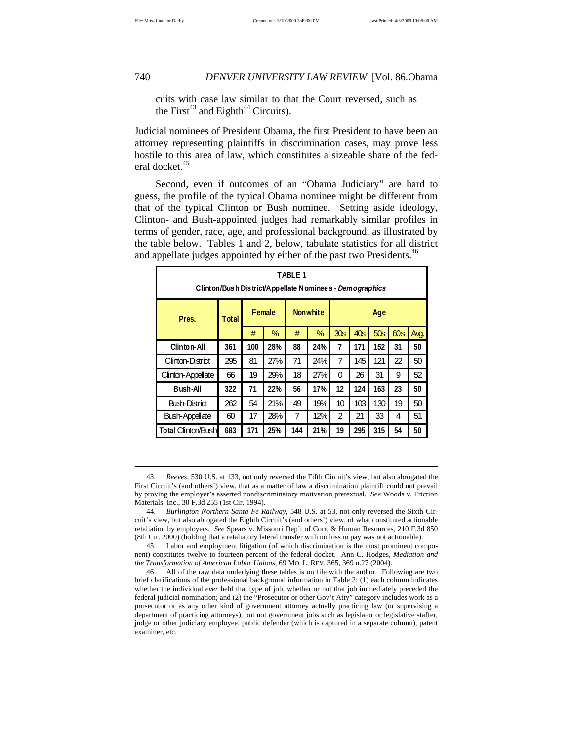$\overline{a}$ 

cuits with case law similar to that the Court reversed, such as the First<sup>43</sup> and Eighth<sup>44</sup> Circuits).

Judicial nominees of President Obama, the first President to have been an attorney representing plaintiffs in discrimination cases, may prove less hostile to this area of law, which constitutes a sizeable share of the federal docket.<sup>45</sup>

Second, even if outcomes of an "Obama Judiciary" are hard to guess, the profile of the typical Obama nominee might be different from that of the typical Clinton or Bush nominee. Setting aside ideology, Clinton- and Bush-appointed judges had remarkably similar profiles in terms of gender, race, age, and professional background, as illustrated by the table below. Tables 1 and 2, below, tabulate statistics for all district and appellate judges appointed by either of the past two Presidents.<sup>46</sup>

| TABLE 1<br>Clinton/Bush District/Appellate Nominees - Demographics |       |                |     |                 |     |                 |     |     |     |      |
|--------------------------------------------------------------------|-------|----------------|-----|-----------------|-----|-----------------|-----|-----|-----|------|
| Pres.                                                              | Total | <b>F</b> emale |     | <b>Nonwhite</b> |     | Age             |     |     |     |      |
|                                                                    |       | #              | %   | #               | %   | 30 <sub>S</sub> | 40s | 50s | 60s | Avg. |
| Clinton-All                                                        | 361   | 100            | 28% | 88              | 24% | 7               | 171 | 152 | 31  | 50   |
| Clinton-District                                                   | 295   | 81             | 27% | 71              | 24% | 7               | 145 | 121 | 22  | 50   |
| Clinton-Appellate                                                  | 66    | 19             | 29% | 18              | 27% | $\theta$        | 26  | 31  | 9   | 52   |
| <b>Bush-All</b>                                                    | 322   | 71             | 22% | 56              | 17% | 12              | 124 | 163 | 23  | 50   |
| Bush-District                                                      | 262   | 54             | 21% | 49              | 19% | 10              | 103 | 130 | 19  | 50   |
| <b>Bush-Appellate</b>                                              | 60    | 17             | 28% | 7               | 12% | 2               | 21  | 33  | 4   | 51   |
| <b>Total Clinton/Bush</b>                                          | 683   | 171            | 25% | 144             | 21% | 19              | 295 | 315 | 54  | 50   |

 <sup>43.</sup> *Reeves*, 530 U.S. at 133, not only reversed the Fifth Circuit's view, but also abrogated the First Circuit's (and others') view, that as a matter of law a discrimination plaintiff could not prevail by proving the employer's asserted nondiscriminatory motivation pretextual. *See* Woods v. Friction Materials, Inc., 30 F.3d 255 (1st Cir. 1994).

 <sup>44.</sup> *Burlington Northern Santa Fe Railway*, 548 U.S. at 53, not only reversed the Sixth Circuit's view, but also abrogated the Eighth Circuit's (and others') view, of what constituted actionable retaliation by employers. *See* Spears v. Missouri Dep't of Corr. & Human Resources, 210 F.3d 850 (8th Cir. 2000) (holding that a retaliatory lateral transfer with no loss in pay was not actionable).

 <sup>45.</sup> Labor and employment litigation (of which discrimination is the most prominent component) constitutes twelve to fourteen percent of the federal docket. Ann C. Hodges, *Mediation and the Transformation of American Labor Unions*, 69 MO. L. REV. 365, 369 n.27 (2004).

 <sup>46.</sup> All of the raw data underlying these tables is on file with the author. Following are two brief clarifications of the professional background information in Table 2: (1) each column indicates whether the individual *ever* held that type of job, whether or not that job immediately preceded the federal judicial nomination; and (2) the "Prosecutor or other Gov't Atty" category includes work as a prosecutor or as any other kind of government attorney actually practicing law (or supervising a department of practicing attorneys), but not government jobs such as legislator or legislative staffer, judge or other judiciary employee, public defender (which is captured in a separate column), patent examiner, etc.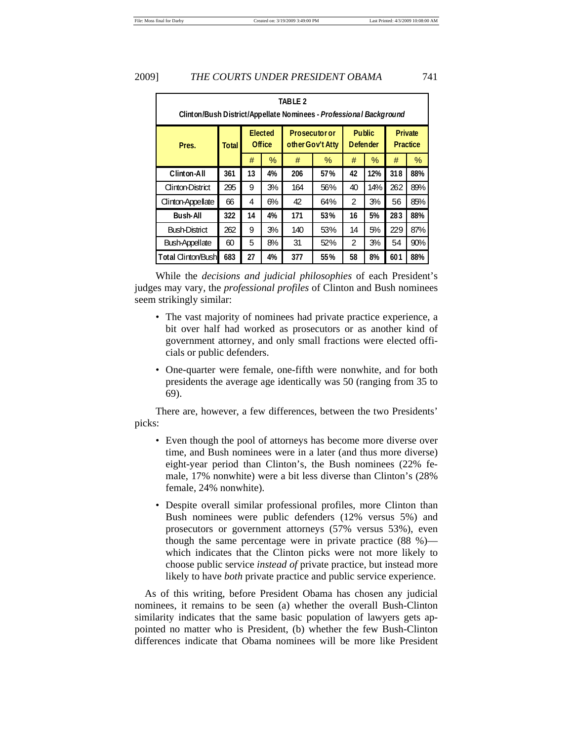| TABLE 2<br>Clinton/Bush District/Appellate Nominees - Professional Background |       |                   |    |                                          |     |                                  |     |                                   |     |
|-------------------------------------------------------------------------------|-------|-------------------|----|------------------------------------------|-----|----------------------------------|-----|-----------------------------------|-----|
| Pres.                                                                         | Total | Elected<br>Office |    | <b>Prosecutor or</b><br>other Gov't Atty |     | <b>Public</b><br><b>Defender</b> |     | <b>Private</b><br><b>Practice</b> |     |
|                                                                               |       | #                 | %  | #                                        | %   | #                                | %   | #                                 | %   |
| Clinton-All                                                                   | 361   | 13                | 4% | 206                                      | 57% | 42                               | 12% | 318                               | 88% |
| Clinton-District                                                              | 295   | 9                 | 3% | 164                                      | 56% | 40                               | 14% | 262                               | 89% |
| Clinton-Appellate                                                             | 66    | 4                 | 6% | 42                                       | 64% | $\overline{2}$                   | 3%  | 56                                | 85% |
| <b>Bush-All</b>                                                               | 322   | 14                | 4% | 171                                      | 53% | 16                               | 5%  | 283                               | 88% |
| <b>Bush-District</b>                                                          | 262   | 9                 | 3% | 140                                      | 53% | 14                               | 5%  | 229                               | 87% |
| Bush-Appellate                                                                | 60    | 5                 | 8% | 31                                       | 52% | $\overline{2}$                   | 3%  | 54                                | 90% |
| Total Clinton/Bush                                                            | 683   | 27                | 4% | 377                                      | 55% | 58                               | 8%  | 601                               | 88% |

While the *decisions and judicial philosophies* of each President's judges may vary, the *professional profiles* of Clinton and Bush nominees seem strikingly similar:

- The vast majority of nominees had private practice experience, a bit over half had worked as prosecutors or as another kind of government attorney, and only small fractions were elected officials or public defenders.
- One-quarter were female, one-fifth were nonwhite, and for both presidents the average age identically was 50 (ranging from 35 to 69).

There are, however, a few differences, between the two Presidents' picks:

- Even though the pool of attorneys has become more diverse over time, and Bush nominees were in a later (and thus more diverse) eight-year period than Clinton's, the Bush nominees (22% female, 17% nonwhite) were a bit less diverse than Clinton's (28% female, 24% nonwhite).
- Despite overall similar professional profiles, more Clinton than Bush nominees were public defenders (12% versus 5%) and prosecutors or government attorneys (57% versus 53%), even though the same percentage were in private practice (88 %) which indicates that the Clinton picks were not more likely to choose public service *instead of* private practice, but instead more likely to have *both* private practice and public service experience.

 As of this writing, before President Obama has chosen any judicial nominees, it remains to be seen (a) whether the overall Bush-Clinton similarity indicates that the same basic population of lawyers gets appointed no matter who is President, (b) whether the few Bush-Clinton differences indicate that Obama nominees will be more like President